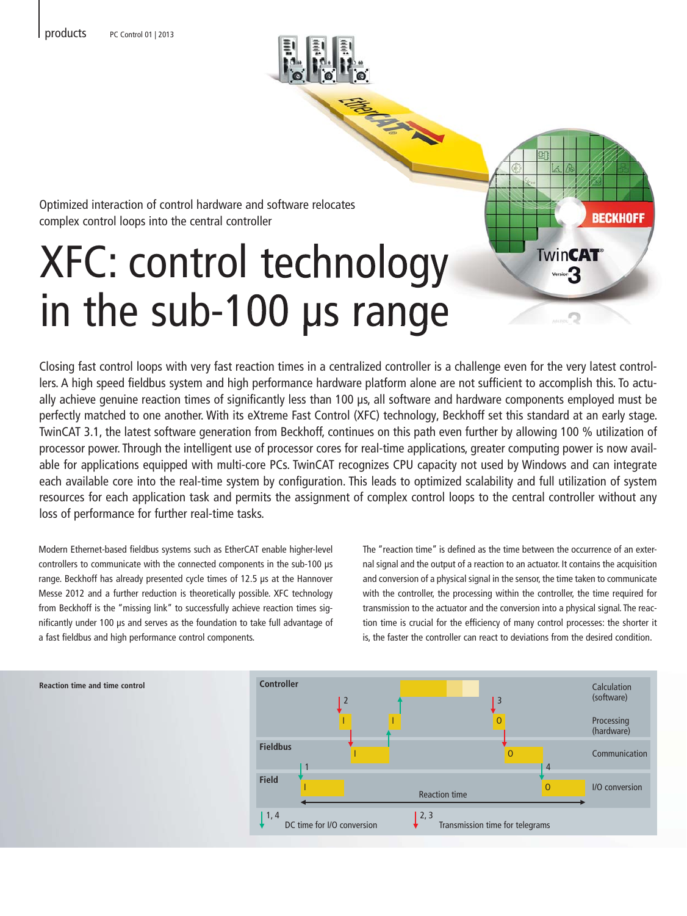

Optimized interaction of control hardware and software relocates Optimized interaction of control hardware and s<br>complex control loops into the central controller

# XFC: control technology in the sub-100 μs range

Closing fast control loops with very fast reaction times in a centralized controller is a challenge even for the very latest controllers. A high speed fieldbus system and high performance hardware platform alone are not sufficient to accomplish this. To actually achieve genuine reaction times of significantly less than 100 μs, all software and hardware components employed must be perfectly matched to one another. With its eXtreme Fast Control (XFC) technology, Beckhoff set this standard at an early stage. TwinCAT 3.1, the latest software generation from Beckhoff, continues on this path even further by allowing 100 % utilization of processor power. Through the intelligent use of processor cores for real-time applications, greater computing power is now available for applications equipped with multi-core PCs. TwinCAT recognizes CPU capacity not used by Windows and can integrate each available core into the real-time system by configuration. This leads to optimized scalability and full utilization of system resources for each application task and permits the assignment of complex control loops to the central controller without any loss of performance for further real-time tasks.

Modern Ethernet-based fieldbus systems such as EtherCAT enable higher-level controllers to communicate with the connected components in the sub-100 μs range. Beckhoff has already presented cycle times of 12.5 μs at the Hannover Messe 2012 and a further reduction is theoretically possible. XFC technology from Beckhoff is the "missing link" to successfully achieve reaction times significantly under 100 μs and serves as the foundation to take full advantage of a fast fieldbus and high performance control components.

The "reaction time" is defined as the time between the occurrence of an external signal and the output of a reaction to an actuator. It contains the acquisition and conversion of a physical signal in the sensor, the time taken to communicate with the controller, the processing within the controller, the time required for transmission to the actuator and the conversion into a physical signal. The reaction time is crucial for the efficiency of many control processes: the shorter it is, the faster the controller can react to deviations from the desired condition.

**BECKHOFF** 

**TwinCAT®**  $Version$ 



**Reaction time and time control**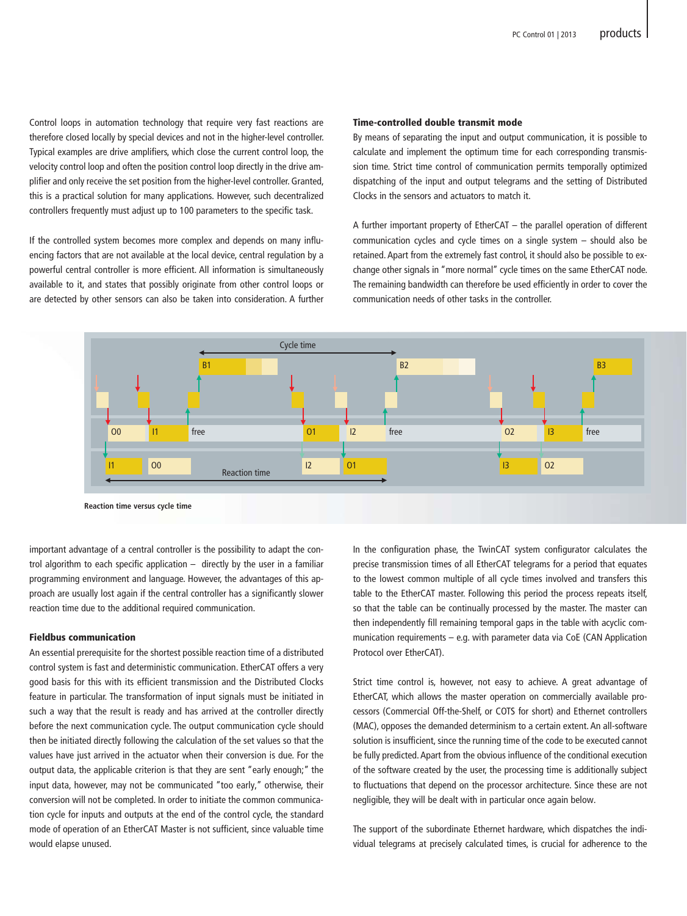Control loops in automation technology that require very fast reactions are therefore closed locally by special devices and not in the higher-level controller. Typical examples are drive amplifiers, which close the current control loop, the velocity control loop and often the position control loop directly in the drive amplifier and only receive the set position from the higher-level controller. Granted, this is a practical solution for many applications. However, such decentralized controllers frequently must adjust up to 100 parameters to the specific task.

If the controlled system becomes more complex and depends on many influencing factors that are not available at the local device, central regulation by a powerful central controller is more efficient. All information is simultaneously available to it, and states that possibly originate from other control loops or are detected by other sensors can also be taken into consideration. A further

### Time-controlled double transmit mode

By means of separating the input and output communication, it is possible to calculate and implement the optimum time for each corresponding transmission time. Strict time control of communication permits temporally optimized dispatching of the input and output telegrams and the setting of Distributed Clocks in the sensors and actuators to match it.

A further important property of EtherCAT – the parallel operation of different communication cycles and cycle times on a single system – should also be retained. Apart from the extremely fast control, it should also be possible to exchange other signals in "more normal" cycle times on the same EtherCAT node. The remaining bandwidth can therefore be used efficiently in order to cover the communication needs of other tasks in the controller.



important advantage of a central controller is the possibility to adapt the control algorithm to each specific application  $-$  directly by the user in a familiar programming environment and language. However, the advantages of this approach are usually lost again if the central controller has a significantly slower reaction time due to the additional required communication.

#### Fieldbus communication

An essential prerequisite for the shortest possible reaction time of a distributed control system is fast and deterministic communication. EtherCAT offers a very good basis for this with its efficient transmission and the Distributed Clocks feature in particular. The transformation of input signals must be initiated in such a way that the result is ready and has arrived at the controller directly before the next communication cycle. The output communication cycle should then be initiated directly following the calculation of the set values so that the values have just arrived in the actuator when their conversion is due. For the output data, the applicable criterion is that they are sent "early enough;" the input data, however, may not be communicated "too early," otherwise, their conversion will not be completed. In order to initiate the common communication cycle for inputs and outputs at the end of the control cycle, the standard mode of operation of an EtherCAT Master is not sufficient, since valuable time would elapse unused.

In the configuration phase, the TwinCAT system configurator calculates the precise transmission times of all EtherCAT telegrams for a period that equates to the lowest common multiple of all cycle times involved and transfers this table to the EtherCAT master. Following this period the process repeats itself, so that the table can be continually processed by the master. The master can then independently fill remaining temporal gaps in the table with acyclic communication requirements – e.g. with parameter data via CoE (CAN Application Protocol over EtherCAT).

Strict time control is, however, not easy to achieve. A great advantage of EtherCAT, which allows the master operation on commercially available processors (Commercial Off-the-Shelf, or COTS for short) and Ethernet controllers (MAC), opposes the demanded determinism to a certain extent. An all-software solution is insufficient, since the running time of the code to be executed cannot be fully predicted. Apart from the obvious influence of the conditional execution of the software created by the user, the processing time is additionally subject to fluctuations that depend on the processor architecture. Since these are not negligible, they will be dealt with in particular once again below.

The support of the subordinate Ethernet hardware, which dispatches the individual telegrams at precisely calculated times, is crucial for adherence to the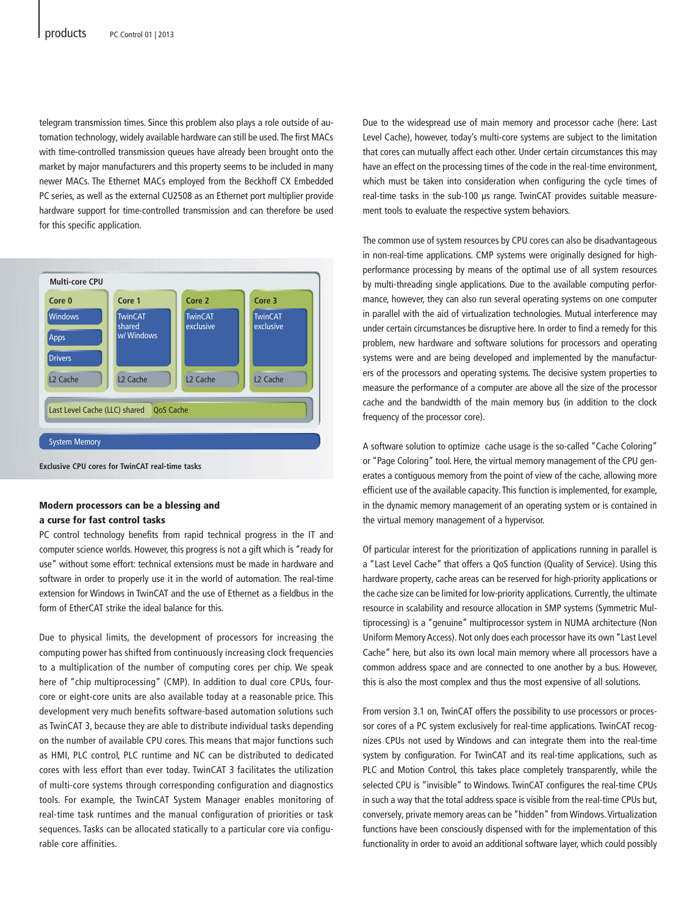telegram transmission times. Since this problem also plays a role outside of automation technology, widely available hardware can still be used. The first MACs with time-controlled transmission queues have already been brought onto the market by major manufacturers and this property seems to be included in many newer MACs. The Ethernet MACs employed from the Beckhoff CX Embedded PC series, as well as the external CU2508 as an Ethernet port multiplier provide hardware support for time-controlled transmission and can therefore be used for this specific application.



#### Modern processors can be a blessing and a curse for fast control tasks

PC control technology benefits from rapid technical progress in the IT and computer science worlds. However, this progress is not a gift which is "ready for use" without some effort: technical extensions must be made in hardware and software in order to properly use it in the world of automation. The real-time extension for Windows in TwinCAT and the use of Ethernet as a fieldbus in the form of EtherCAT strike the ideal balance for this.

Due to physical limits, the development of processors for increasing the computing power has shifted from continuously increasing clock frequencies to a multiplication of the number of computing cores per chip. We speak here of "chip multiprocessing" (CMP). In addition to dual core CPUs, fourcore or eight-core units are also available today at a reasonable price. This development very much benefits software-based automation solutions such as TwinCAT 3, because they are able to distribute individual tasks depending on the number of available CPU cores. This means that major functions such as HMI, PLC control, PLC runtime and NC can be distributed to dedicated cores with less effort than ever today. TwinCAT 3 facilitates the utilization of multi-core systems through corresponding configuration and diagnostics tools. For example, the TwinCAT System Manager enables monitoring of real-time task runtimes and the manual configuration of priorities or task sequences. Tasks can be allocated statically to a particular core via configurable core affinities.

Due to the widespread use of main memory and processor cache (here: Last Level Cache), however, today's multi-core systems are subject to the limitation that cores can mutually affect each other. Under certain circumstances this may have an effect on the processing times of the code in the real-time environment, which must be taken into consideration when configuring the cycle times of real-time tasks in the sub-100 μs range. TwinCAT provides suitable measurement tools to evaluate the respective system behaviors.

The common use of system resources by CPU cores can also be disadvantageous in non-real-time applications. CMP systems were originally designed for highperformance processing by means of the optimal use of all system resources by multi-threading single applications. Due to the available computing performance, however, they can also run several operating systems on one computer in parallel with the aid of virtualization technologies. Mutual interference may under certain circumstances be disruptive here. In order to find a remedy for this problem, new hardware and software solutions for processors and operating systems were and are being developed and implemented by the manufacturers of the processors and operating systems. The decisive system properties to measure the performance of a computer are above all the size of the processor cache and the bandwidth of the main memory bus (in addition to the clock frequency of the processor core).

A software solution to optimize cache usage is the so-called "Cache Coloring" or "Page Coloring" tool. Here, the virtual memory management of the CPU generates a contiguous memory from the point of view of the cache, allowing more efficient use of the available capacity. This function is implemented, for example, in the dynamic memory management of an operating system or is contained in the virtual memory management of a hypervisor.

Of particular interest for the prioritization of applications running in parallel is a "Last Level Cache" that offers a QoS function (Quality of Service). Using this hardware property, cache areas can be reserved for high-priority applications or the cache size can be limited for low-priority applications. Currently, the ultimate resource in scalability and resource allocation in SMP systems (Symmetric Multiprocessing) is a "genuine" multiprocessor system in NUMA architecture (Non Uniform Memory Access). Not only does each processor have its own "Last Level Cache" here, but also its own local main memory where all processors have a common address space and are connected to one another by a bus. However, this is also the most complex and thus the most expensive of all solutions.

From version 3.1 on, TwinCAT offers the possibility to use processors or processor cores of a PC system exclusively for real-time applications. TwinCAT recognizes CPUs not used by Windows and can integrate them into the real-time system by configuration. For TwinCAT and its real-time applications, such as PLC and Motion Control, this takes place completely transparently, while the selected CPU is "invisible" to Windows. TwinCAT configures the real-time CPUs in such a way that the total address space is visible from the real-time CPUs but, conversely, private memory areas can be "hidden" from Windows. Virtualization functions have been consciously dispensed with for the implementation of this functionality in order to avoid an additional software layer, which could possibly